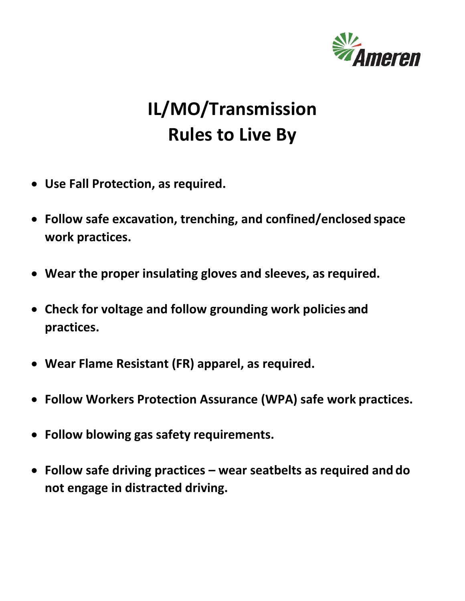

# **IL/MO/Transmission Rules to Live By**

- **Use Fall Protection, as required.**
- **Follow safe excavation, trenching, and confined/enclosed space work practices.**
- **Wear the proper insulating gloves and sleeves, as required.**
- **Check for voltage and follow grounding work policies and practices.**
- **Wear Flame Resistant (FR) apparel, as required.**
- **Follow Workers Protection Assurance (WPA) safe work practices.**
- **Follow blowing gas safety requirements.**
- **Follow safe driving practices – wear seatbelts as required and do not engage in distracted driving.**